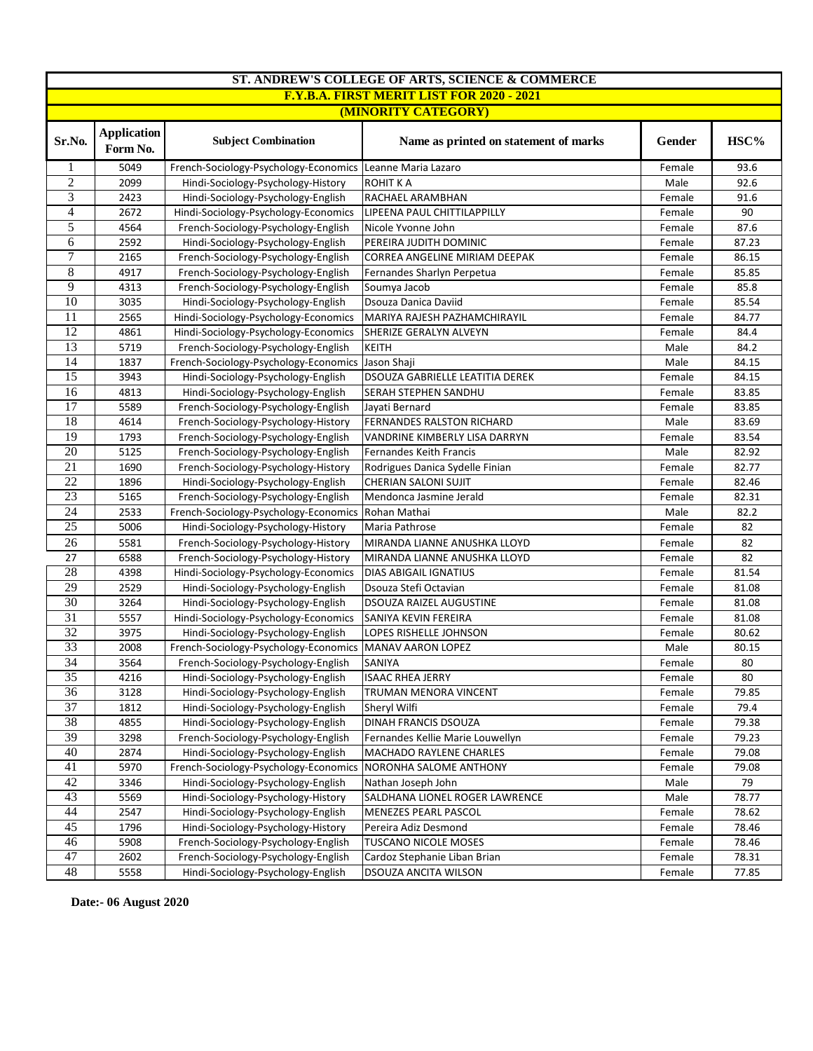| ST. ANDREW'S COLLEGE OF ARTS, SCIENCE & COMMERCE |                                |                                       |                                       |        |       |  |  |
|--------------------------------------------------|--------------------------------|---------------------------------------|---------------------------------------|--------|-------|--|--|
| <b>F.Y.B.A. FIRST MERIT LIST FOR 2020 - 2021</b> |                                |                                       |                                       |        |       |  |  |
| (MINORITY CATEGORY)                              |                                |                                       |                                       |        |       |  |  |
| Sr.No.                                           | <b>Application</b><br>Form No. | <b>Subject Combination</b>            | Name as printed on statement of marks | Gender | HSC%  |  |  |
| 1                                                | 5049                           | French-Sociology-Psychology-Economics | Leanne Maria Lazaro                   | Female | 93.6  |  |  |
| $\overline{2}$                                   | 2099                           | Hindi-Sociology-Psychology-History    | ROHIT K A                             | Male   | 92.6  |  |  |
| $\overline{3}$                                   | 2423                           | Hindi-Sociology-Psychology-English    | RACHAEL ARAMBHAN                      | Female | 91.6  |  |  |
| 4                                                | 2672                           | Hindi-Sociology-Psychology-Economics  | LIPEENA PAUL CHITTILAPPILLY           | Female | 90    |  |  |
| 5                                                | 4564                           | French-Sociology-Psychology-English   | Nicole Yvonne John                    | Female | 87.6  |  |  |
| 6                                                | 2592                           | Hindi-Sociology-Psychology-English    | PEREIRA JUDITH DOMINIC                | Female | 87.23 |  |  |
| 7                                                | 2165                           | French-Sociology-Psychology-English   | CORREA ANGELINE MIRIAM DEEPAK         | Female | 86.15 |  |  |
| 8                                                | 4917                           | French-Sociology-Psychology-English   | Fernandes Sharlyn Perpetua            | Female | 85.85 |  |  |
| 9                                                | 4313                           | French-Sociology-Psychology-English   | Soumya Jacob                          | Female | 85.8  |  |  |
| 10                                               | 3035                           | Hindi-Sociology-Psychology-English    | Dsouza Danica Daviid                  | Female | 85.54 |  |  |
| 11                                               | 2565                           | Hindi-Sociology-Psychology-Economics  | MARIYA RAJESH PAZHAMCHIRAYIL          | Female | 84.77 |  |  |
| 12                                               | 4861                           | Hindi-Sociology-Psychology-Economics  | SHERIZE GERALYN ALVEYN                | Female | 84.4  |  |  |
| 13                                               | 5719                           | French-Sociology-Psychology-English   | <b>KEITH</b>                          | Male   | 84.2  |  |  |
| 14                                               | 1837                           | French-Sociology-Psychology-Economics | Jason Shaji                           | Male   | 84.15 |  |  |
| 15                                               | 3943                           | Hindi-Sociology-Psychology-English    | DSOUZA GABRIELLE LEATITIA DEREK       | Female | 84.15 |  |  |
| 16                                               | 4813                           | Hindi-Sociology-Psychology-English    | SERAH STEPHEN SANDHU                  | Female | 83.85 |  |  |
| 17                                               | 5589                           | French-Sociology-Psychology-English   | Jayati Bernard                        | Female | 83.85 |  |  |
| 18                                               | 4614                           | French-Sociology-Psychology-History   | FERNANDES RALSTON RICHARD             | Male   | 83.69 |  |  |
| $\overline{19}$                                  | 1793                           | French-Sociology-Psychology-English   | VANDRINE KIMBERLY LISA DARRYN         | Female | 83.54 |  |  |
| $\overline{20}$                                  | 5125                           | French-Sociology-Psychology-English   | Fernandes Keith Francis               | Male   | 82.92 |  |  |
| 21                                               | 1690                           | French-Sociology-Psychology-History   | Rodrigues Danica Sydelle Finian       | Female | 82.77 |  |  |
| $\overline{22}$                                  | 1896                           | Hindi-Sociology-Psychology-English    | CHERIAN SALONI SUJIT                  | Female | 82.46 |  |  |
| 23                                               | 5165                           | French-Sociology-Psychology-English   | Mendonca Jasmine Jerald               | Female | 82.31 |  |  |
| 24                                               | 2533                           | French-Sociology-Psychology-Economics | Rohan Mathai                          | Male   | 82.2  |  |  |
| 25                                               | 5006                           | Hindi-Sociology-Psychology-History    | Maria Pathrose                        | Female | 82    |  |  |
| 26                                               | 5581                           | French-Sociology-Psychology-History   | MIRANDA LIANNE ANUSHKA LLOYD          | Female | 82    |  |  |
| 27                                               | 6588                           | French-Sociology-Psychology-History   | MIRANDA LIANNE ANUSHKA LLOYD          | Female | 82    |  |  |
| 28                                               | 4398                           | Hindi-Sociology-Psychology-Economics  | <b>DIAS ABIGAIL IGNATIUS</b>          | Female | 81.54 |  |  |
| 29                                               | 2529                           | Hindi-Sociology-Psychology-English    | Dsouza Stefi Octavian                 | Female | 81.08 |  |  |
| 30                                               | 3264                           | Hindi-Sociology-Psychology-English    | DSOUZA RAIZEL AUGUSTINE               | Female | 81.08 |  |  |
| $\overline{31}$                                  | 5557                           | Hindi-Sociology-Psychology-Economics  | SANIYA KEVIN FEREIRA                  | Female | 81.08 |  |  |
| $\overline{32}$                                  | 3975                           | Hindi-Sociology-Psychology-English    | LOPES RISHELLE JOHNSON                | Female | 80.62 |  |  |
| 33                                               | 2008                           | French-Sociology-Psychology-Economics | <b>MANAV AARON LOPEZ</b>              | Male   | 80.15 |  |  |
| $\overline{34}$                                  | 3564                           | French-Sociology-Psychology-English   | <b>SANIYA</b>                         | Female | 80    |  |  |
| 35                                               | 4216                           | Hindi-Sociology-Psychology-English    | <b>ISAAC RHEA JERRY</b>               | Female | 80    |  |  |
| 36                                               | 3128                           | Hindi-Sociology-Psychology-English    | TRUMAN MENORA VINCENT                 | Female | 79.85 |  |  |
| 37                                               | 1812                           | Hindi-Sociology-Psychology-English    | Sheryl Wilfi                          | Female | 79.4  |  |  |
| $\overline{38}$                                  | 4855                           | Hindi-Sociology-Psychology-English    | DINAH FRANCIS DSOUZA                  | Female | 79.38 |  |  |
| 39                                               | 3298                           | French-Sociology-Psychology-English   | Fernandes Kellie Marie Louwellyn      | Female | 79.23 |  |  |
| 40                                               | 2874                           | Hindi-Sociology-Psychology-English    | MACHADO RAYLENE CHARLES               | Female | 79.08 |  |  |
| $\overline{41}$                                  | 5970                           | French-Sociology-Psychology-Economics | NORONHA SALOME ANTHONY                | Female | 79.08 |  |  |
| 42                                               | 3346                           | Hindi-Sociology-Psychology-English    | Nathan Joseph John                    | Male   | 79    |  |  |
| 43                                               | 5569                           | Hindi-Sociology-Psychology-History    | SALDHANA LIONEL ROGER LAWRENCE        | Male   | 78.77 |  |  |
| 44                                               | 2547                           | Hindi-Sociology-Psychology-English    | MENEZES PEARL PASCOL                  | Female | 78.62 |  |  |
| $\overline{45}$                                  | 1796                           | Hindi-Sociology-Psychology-History    | Pereira Adiz Desmond                  | Female | 78.46 |  |  |
| 46                                               | 5908                           | French-Sociology-Psychology-English   | <b>TUSCANO NICOLE MOSES</b>           | Female | 78.46 |  |  |
| 47                                               | 2602                           | French-Sociology-Psychology-English   | Cardoz Stephanie Liban Brian          | Female | 78.31 |  |  |
| 48                                               | 5558                           | Hindi-Sociology-Psychology-English    | DSOUZA ANCITA WILSON                  | Female | 77.85 |  |  |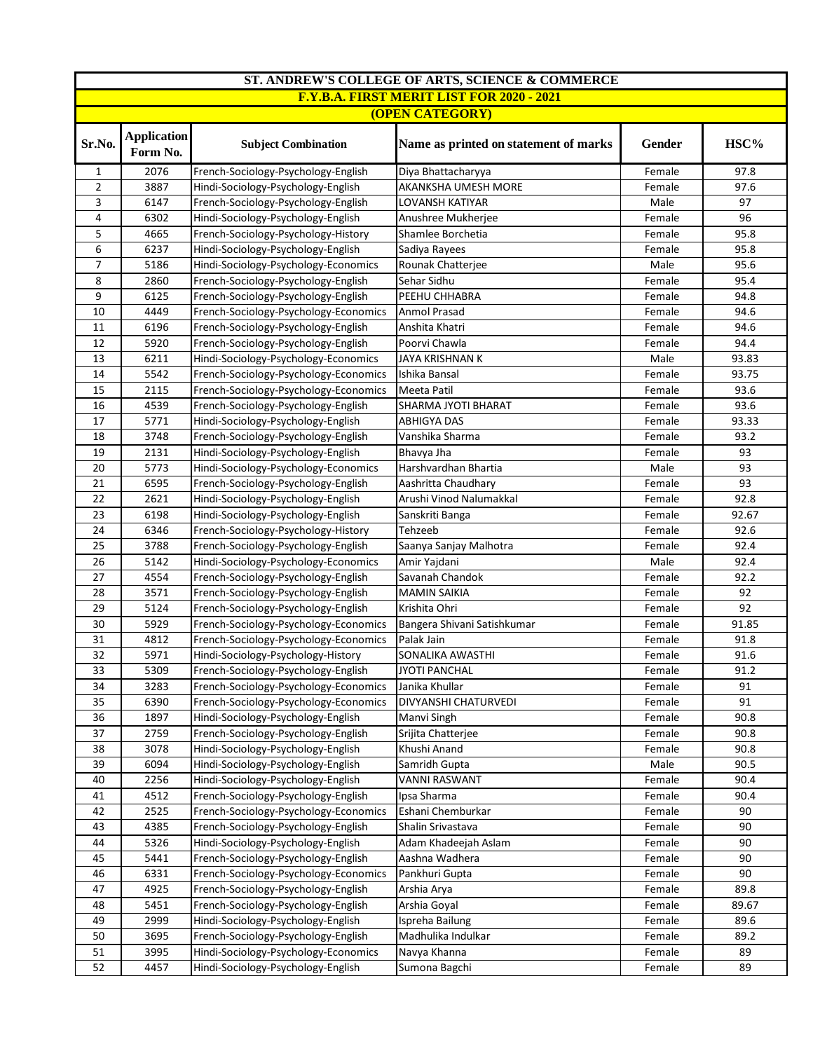| ST. ANDREW'S COLLEGE OF ARTS, SCIENCE & COMMERCE |                                |                                                            |                                       |                  |       |  |  |
|--------------------------------------------------|--------------------------------|------------------------------------------------------------|---------------------------------------|------------------|-------|--|--|
| <b>F.Y.B.A. FIRST MERIT LIST FOR 2020 - 2021</b> |                                |                                                            |                                       |                  |       |  |  |
| <b>(OPEN CATEGORY)</b>                           |                                |                                                            |                                       |                  |       |  |  |
| Sr.No.                                           | <b>Application</b><br>Form No. | <b>Subject Combination</b>                                 | Name as printed on statement of marks |                  | HSC%  |  |  |
| $\mathbf{1}$                                     | 2076                           | French-Sociology-Psychology-English                        | Diya Bhattacharyya                    | Female           | 97.8  |  |  |
| $\overline{2}$                                   | 3887                           | Hindi-Sociology-Psychology-English                         | AKANKSHA UMESH MORE                   | Female           | 97.6  |  |  |
| 3                                                | 6147                           | French-Sociology-Psychology-English                        | <b>LOVANSH KATIYAR</b>                | Male             | 97    |  |  |
| 4                                                | 6302                           | Hindi-Sociology-Psychology-English                         | Anushree Mukherjee                    | Female           | 96    |  |  |
| 5                                                | 4665                           | French-Sociology-Psychology-History                        | Shamlee Borchetia                     | Female           | 95.8  |  |  |
| 6                                                | 6237                           | Hindi-Sociology-Psychology-English                         | Sadiya Rayees                         | Female           | 95.8  |  |  |
| 7                                                | 5186                           | Hindi-Sociology-Psychology-Economics                       | Rounak Chatterjee                     | Male             | 95.6  |  |  |
| 8                                                | 2860                           | French-Sociology-Psychology-English                        | Sehar Sidhu                           | Female           | 95.4  |  |  |
| 9                                                | 6125                           | French-Sociology-Psychology-English                        | PEEHU CHHABRA                         | Female           | 94.8  |  |  |
| 10                                               | 4449                           | French-Sociology-Psychology-Economics                      | Anmol Prasad                          | Female           | 94.6  |  |  |
| 11                                               | 6196                           | French-Sociology-Psychology-English                        | Anshita Khatri                        | Female           | 94.6  |  |  |
| 12                                               | 5920                           | French-Sociology-Psychology-English                        | Poorvi Chawla                         | Female           | 94.4  |  |  |
| 13                                               | 6211                           | Hindi-Sociology-Psychology-Economics                       | JAYA KRISHNAN K                       | Male             | 93.83 |  |  |
| 14                                               | 5542                           | French-Sociology-Psychology-Economics                      | Ishika Bansal                         | Female           | 93.75 |  |  |
| 15                                               | 2115                           | French-Sociology-Psychology-Economics                      | Meeta Patil                           | Female           | 93.6  |  |  |
| 16                                               | 4539                           | French-Sociology-Psychology-English                        | SHARMA JYOTI BHARAT                   | Female           | 93.6  |  |  |
| 17                                               | 5771                           | Hindi-Sociology-Psychology-English                         | <b>ABHIGYA DAS</b>                    | Female           | 93.33 |  |  |
| 18                                               | 3748                           | French-Sociology-Psychology-English                        | Vanshika Sharma                       | Female<br>Female | 93.2  |  |  |
| 19                                               | 2131                           | Hindi-Sociology-Psychology-English                         | Bhavya Jha                            |                  | 93    |  |  |
| 20                                               | 5773                           | Hindi-Sociology-Psychology-Economics                       | Harshvardhan Bhartia                  | Male             | 93    |  |  |
| 21                                               | 6595                           | French-Sociology-Psychology-English<br>Aashritta Chaudhary |                                       | Female           | 93    |  |  |
| 22                                               | 2621                           | Hindi-Sociology-Psychology-English                         | Arushi Vinod Nalumakkal               | Female           | 92.8  |  |  |
| 23                                               | 6198                           | Hindi-Sociology-Psychology-English                         | Sanskriti Banga                       | Female           | 92.67 |  |  |
| 24                                               | 6346                           | French-Sociology-Psychology-History                        | Tehzeeb                               | Female           | 92.6  |  |  |
| 25                                               | 3788                           | French-Sociology-Psychology-English                        | Saanya Sanjay Malhotra                | Female           | 92.4  |  |  |
| 26                                               | 5142                           | Hindi-Sociology-Psychology-Economics                       | Amir Yajdani                          | Male             | 92.4  |  |  |
| 27                                               | 4554                           | French-Sociology-Psychology-English                        | Savanah Chandok                       | Female           | 92.2  |  |  |
| 28                                               | 3571                           | French-Sociology-Psychology-English                        | <b>MAMIN SAIKIA</b>                   | Female           | 92    |  |  |
| 29                                               | 5124                           | French-Sociology-Psychology-English                        | Krishita Ohri                         | Female           | 92    |  |  |
| 30                                               | 5929                           | French-Sociology-Psychology-Economics                      | Bangera Shivani Satishkumar           | Female           | 91.85 |  |  |
| 31                                               | 4812                           | French-Sociology-Psychology-Economics                      | Palak Jain                            | Female           | 91.8  |  |  |
| 32                                               | 5971                           | Hindi-Sociology-Psychology-History                         | SONALIKA AWASTHI                      | Female           | 91.6  |  |  |
| 33                                               | 5309                           | French-Sociology-Psychology-English                        | <b>JYOTI PANCHAL</b>                  | Female           | 91.2  |  |  |
| 34                                               | 3283                           | French-Sociology-Psychology-Economics                      | Janika Khullar                        | Female           | 91    |  |  |
| 35                                               | 6390                           | French-Sociology-Psychology-Economics                      | DIVYANSHI CHATURVEDI                  | Female           | 91    |  |  |
| 36                                               | 1897                           | Hindi-Sociology-Psychology-English                         | Manvi Singh                           | Female           | 90.8  |  |  |
| 37                                               | 2759                           | French-Sociology-Psychology-English                        | Srijita Chatterjee                    | Female           | 90.8  |  |  |
| 38                                               | 3078                           | Hindi-Sociology-Psychology-English                         | Khushi Anand                          | Female           | 90.8  |  |  |
| 39                                               | 6094                           | Hindi-Sociology-Psychology-English                         | Samridh Gupta                         | Male             | 90.5  |  |  |
| 40                                               | 2256                           | Hindi-Sociology-Psychology-English                         | <b>VANNI RASWANT</b>                  | Female           | 90.4  |  |  |
| 41                                               | 4512                           | French-Sociology-Psychology-English                        | Ipsa Sharma                           | Female<br>Female | 90.4  |  |  |
| 42                                               | 2525                           | French-Sociology-Psychology-Economics                      | Eshani Chemburkar                     |                  | 90    |  |  |
| 43                                               | 4385                           | French-Sociology-Psychology-English                        | Shalin Srivastava                     | Female           | 90    |  |  |
| 44                                               | 5326                           | Hindi-Sociology-Psychology-English                         | Adam Khadeejah Aslam                  | Female           | 90    |  |  |
| 45                                               | 5441                           | French-Sociology-Psychology-English                        | Aashna Wadhera                        | Female           | 90    |  |  |
| 46                                               | 6331                           | French-Sociology-Psychology-Economics                      | Pankhuri Gupta                        | Female           | 90    |  |  |
| 47                                               | 4925                           | French-Sociology-Psychology-English                        | Arshia Arya                           | Female           | 89.8  |  |  |
| 48                                               | 5451                           | French-Sociology-Psychology-English                        | Arshia Goyal                          | Female           | 89.67 |  |  |
| 49                                               | 2999                           | Hindi-Sociology-Psychology-English                         | Ispreha Bailung                       | Female           | 89.6  |  |  |
| 50                                               | 3695                           | French-Sociology-Psychology-English                        | Madhulika Indulkar                    | Female           | 89.2  |  |  |
| 51                                               | 3995                           | Hindi-Sociology-Psychology-Economics                       | Navya Khanna                          | Female           | 89    |  |  |
| 52                                               | 4457                           | Hindi-Sociology-Psychology-English                         | Sumona Bagchi                         | Female           | 89    |  |  |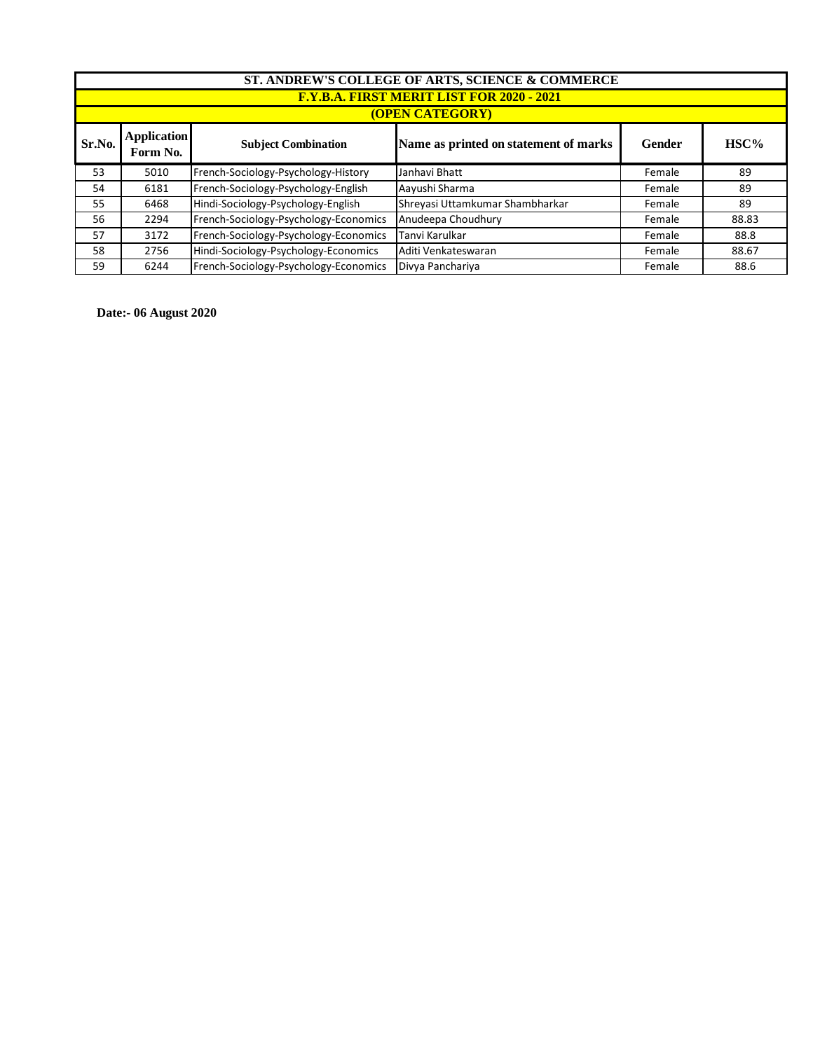| ST. ANDREW'S COLLEGE OF ARTS, SCIENCE & COMMERCE |                                                                                                       |                                       |                                 |        |       |  |  |  |
|--------------------------------------------------|-------------------------------------------------------------------------------------------------------|---------------------------------------|---------------------------------|--------|-------|--|--|--|
|                                                  | <b>F.Y.B.A. FIRST MERIT LIST FOR 2020 - 2021</b>                                                      |                                       |                                 |        |       |  |  |  |
|                                                  | <b>(OPEN CATEGORY)</b>                                                                                |                                       |                                 |        |       |  |  |  |
| Sr.No.                                           | <b>Application</b><br>Name as printed on statement of marks<br><b>Subject Combination</b><br>Form No. |                                       | Gender                          | HSC%   |       |  |  |  |
| 53                                               | 5010                                                                                                  | French-Sociology-Psychology-History   | Janhavi Bhatt                   | Female | 89    |  |  |  |
| 54                                               | 6181                                                                                                  | French-Sociology-Psychology-English   | Aayushi Sharma                  | Female | 89    |  |  |  |
| 55                                               | 6468                                                                                                  | Hindi-Sociology-Psychology-English    | Shreyasi Uttamkumar Shambharkar | Female | 89    |  |  |  |
| 56                                               | 2294                                                                                                  | French-Sociology-Psychology-Economics | Anudeepa Choudhury              | Female | 88.83 |  |  |  |
| 57                                               | 3172                                                                                                  | French-Sociology-Psychology-Economics | Tanvi Karulkar                  | Female | 88.8  |  |  |  |
| 58                                               | 2756                                                                                                  | Hindi-Sociology-Psychology-Economics  | Aditi Venkateswaran             | Female | 88.67 |  |  |  |
| 59                                               | 6244                                                                                                  | French-Sociology-Psychology-Economics | Divya Panchariya                | Female | 88.6  |  |  |  |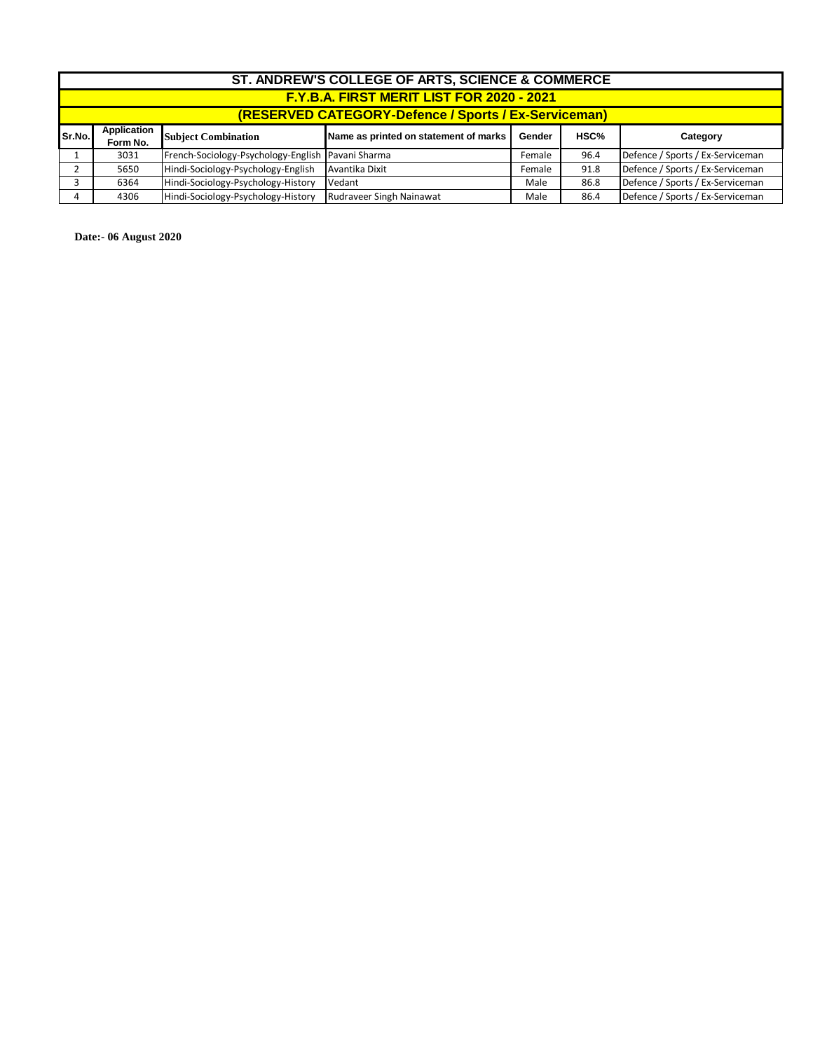|         | ST. ANDREW'S COLLEGE OF ARTS, SCIENCE & COMMERCE     |                                                   |                                       |        |      |                                  |  |
|---------|------------------------------------------------------|---------------------------------------------------|---------------------------------------|--------|------|----------------------------------|--|
|         | F.Y.B.A. FIRST MERIT LIST FOR 2020 - 2021            |                                                   |                                       |        |      |                                  |  |
|         | (RESERVED CATEGORY-Defence / Sports / Ex-Serviceman) |                                                   |                                       |        |      |                                  |  |
| Sr.No.l | Application<br>Form No.                              | <b>Subject Combination</b>                        | Name as printed on statement of marks | Gender | HSC% | Category                         |  |
|         | 3031                                                 | French-Sociology-Psychology-English Pavani Sharma |                                       | Female | 96.4 | Defence / Sports / Ex-Serviceman |  |
|         | 5650                                                 | Hindi-Sociology-Psychology-English                | Avantika Dixit                        | Female | 91.8 | Defence / Sports / Ex-Serviceman |  |
|         | 6364                                                 | Hindi-Sociology-Psychology-History                | Vedant                                | Male   | 86.8 | Defence / Sports / Ex-Serviceman |  |
| 4       | 4306                                                 | Hindi-Sociology-Psychology-History                | <b>Rudraveer Singh Nainawat</b>       | Male   | 86.4 | Defence / Sports / Ex-Serviceman |  |